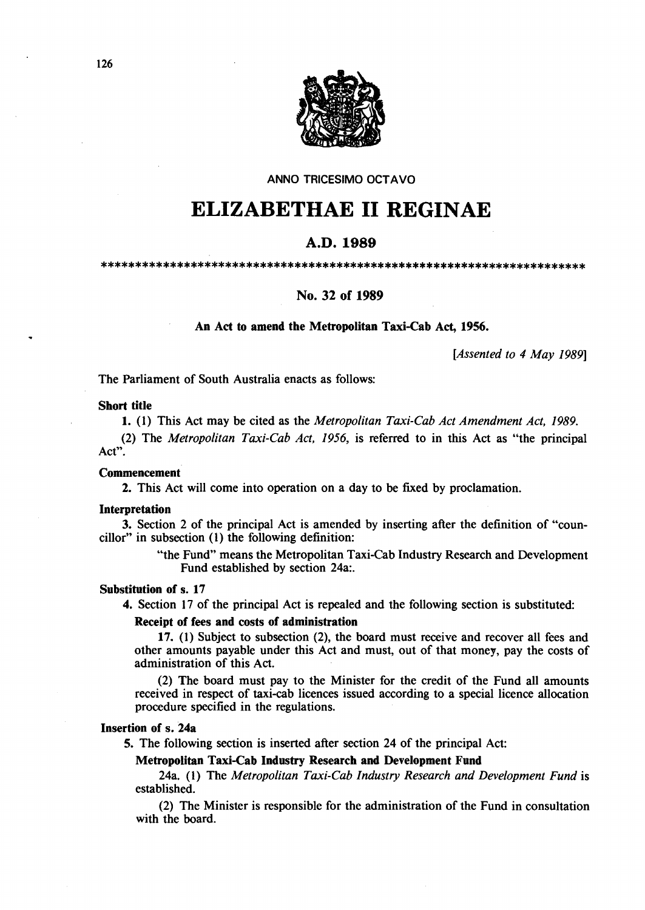

ANNO TRICESIMO OCTAVO

# **ELIZABETHAE 11 REGINAE**

## A.D.1989

\*\*\*\*\*\*\*\*\*\*\*\*\*\*\*\*\*\*\*\*\*\*\*\*\*\*\*\*\*\*\*\*\*\*\*\*\*\*\*\*\*\*\*\*\*\*\*\*\*\*\*\*\*\*\*\*\*\*\*\*\*\*\*\*\*\*\*\*\*\*

## No. 32 of 1989

## An Act to amend the Metropolitan Taxi-Cab Act, 1956.

*[Assented to* 4 *May 1989]* 

The Parliament of South Australia enacts as follows:

#### Short title

1. (1) This Act may be cited as the *Metropolitan Taxi-Cab Act Amendment Act, 1989.* 

(2) The *Metropolitan Taxi-Cab Act,* 1956, is referred to in this Act as "the principal Act".

## Commencement

2. This Act will come into operation on a day to be fIxed by proclamation.

#### Interpretation

3. Section 2 of the principal Act is amended by inserting after the definition of "coun $cillor''$  in subsection  $(1)$  the following definition:

> "the Fund" means the Metropolitan Taxi-Cab Industry Research and Development Fund established by section 24a:.

## Substitution of s. 17

4. Section 17 of the principal Act is repealed and the following section is substituted:

#### Receipt of fees and costs of administration

17. (1) Subject to subsection (2), the board must receive and recover all fees and other amounts payable under this Act and must, out of that money, pay the costs of administration of this Act.

(2) The board must pay to the Minister for the credit of the Fund all amounts received in respect of taxi-cab licences issued according to a special licence allocation procedure specified in the regulations.

## Insertion of s. 24a

5. The following section is inserted after section 24 of the principal Act:

## Metropolitan Taxi-Cab Industry Research and Development Fund

24a. (I) The *Metropolitan Taxi-Cab Industry Research and Development Fund* is established.

(2) The Minister is responsible for the administration of the Fund in consultation with the board.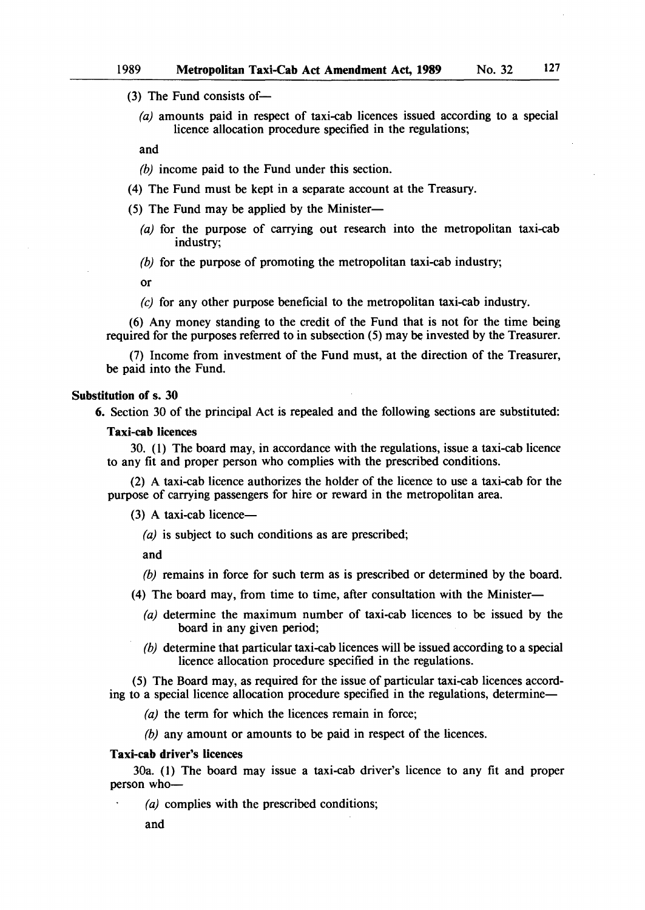(3) The Fund consists of-

(a) amounts paid in respect of taxi-cab licences issued according to a special licence allocation procedure specified in the regulations;

and

*(h)* income paid to the Fund under this section.

- (4) The Fund must be kept in a separate account at the Treasury.
- (5) The Fund may be applied by the Minister--
	- (a) for the purpose of carrying out research into the metropolitan taxi-cab industry;
	- *(h)* for the purpose of promoting the metropolitan taxi-cab industry;
	- or
	- (e) for any other purpose beneficial to the metropolitan taxi-cab industry.

(6) Any money standing to the credit of the Fund that is not for the time being required for the purposes referred to in subsection (5) may be invested by the Treasurer.

(7) Income from investment of the Fund must, at the direction of the Treasurer, be paid into the Fund.

#### Substitution of s. 30

6. Section 30 of the principal Act is repealed and the following sections are substituted:

#### Taxi-cab licences

30. (1) The board may, in accordance with the regulations, issue a taxi-cab licence to any fit and proper person who complies with the prescribed conditions.

(2) A taxi-cab licence authorizes the holder of the licence to use a taxi-cab for the purpose of carrying passengers for hire or reward in the metropolitan area.

 $(3)$  A taxi-cab licence-

*(a)* is subject to such conditions as are prescribed;

and

- *(h)* remains in force for such term as is prescribed or determined by the board.
- (4) The board may, from time to time, after consultation with the Minister-
	- (a) determine the maximum number of taxi-cab licences to be issued by the board in any given period;
	- *(h)* determine that particular taxi-cab licences will be issued according to a special licence allocation procedure specified in the regulations.

(5) The Board may, as required for the issue of particular taxi-cab licences according to a special licence allocation procedure specified in the regulations, determine—

(a) the term for which the licences remain in force;

(b) any amount or amounts to be paid in respect of the licences.

#### Taxi-cab driver's licences

30a. (1) The board may issue a taxi-cab driver's licence to any fit and proper person who-

(a) complies with the prescribed conditions;

and